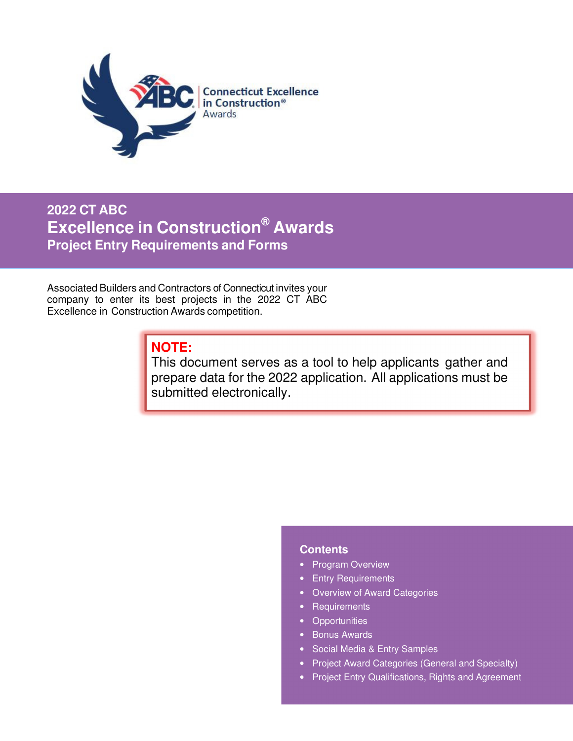

**2022 CT ABC Excellence in Construction® Awards Project Entry Requirements and Forms**

Associated Builders and Contractors of Connecticut invites your company to enter its best projects in the 2022 CT ABC Excellence in Construction Awards competition.

# **NOTE:**

This document serves as a tool to help applicants gather and prepare data for the 2022 application. All applications must be submitted electronically.

### **Contents**

- Program Overview
- Entry Requirements
- Overview of Award Categories
- Requirements
- Opportunities
- Bonus Awards
- Social Media & Entry Samples
- Project Award Categories (General and Specialty)
- Project Entry Qualifications, Rights and Agreement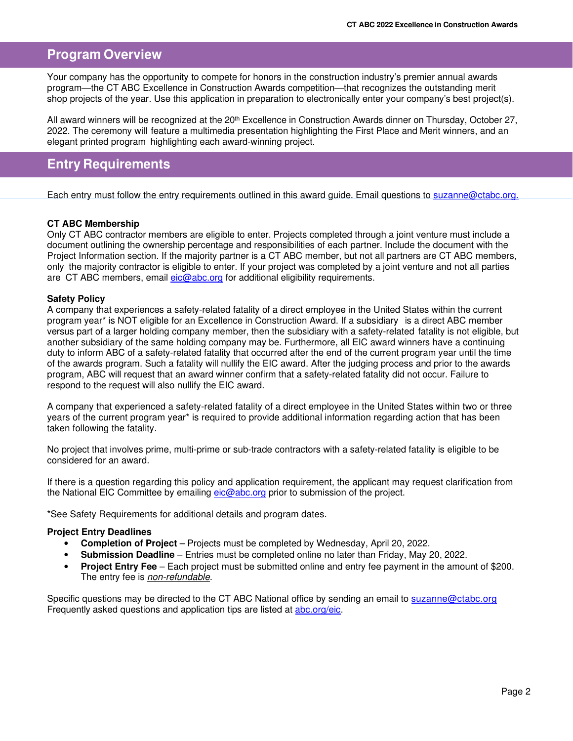## **Program Overview**

Your company has the opportunity to compete for honors in the construction industry's premier annual awards program—the CT ABC Excellence in Construction Awards competition—that recognizes the outstanding merit shop projects of the year. Use this application in preparation to electronically enter your company's best project(s).

All award winners will be recognized at the 20<sup>th</sup> Excellence in Construction Awards dinner on Thursday, October 27, 2022. The ceremony will feature a multimedia presentation highlighting the First Place and Merit winners, and an elegant printed program highlighting each award-winning project.

## **Entry Requirements**

Each entry must follow the entry requirements outlined in this award guide. Email questions to suzanne@ctabc.org.

### **CT ABC Membership**

Only CT ABC contractor members are eligible to enter. Projects completed through a joint venture must include a document outlining the ownership percentage and responsibilities of each partner. Include the document with the Project Information section. If the majority partner is a CT ABC member, but not all partners are CT ABC members, only the majority contractor is eligible to enter. If your project was completed by a joint venture and not all parties are CT ABC members, email eic@abc.org for additional eligibility requirements.

### **Safety Policy**

A company that experiences a safety-related fatality of a direct employee in the United States within the current program year\* is NOT eligible for an Excellence in Construction Award. If a subsidiary is a direct ABC member versus part of a larger holding company member, then the subsidiary with a safety-related fatality is not eligible, but another subsidiary of the same holding company may be. Furthermore, all EIC award winners have a continuing duty to inform ABC of a safety-related fatality that occurred after the end of the current program year until the time of the awards program. Such a fatality will nullify the EIC award. After the judging process and prior to the awards program, ABC will request that an award winner confirm that a safety-related fatality did not occur. Failure to respond to the request will also nullify the EIC award.

A company that experienced a safety-related fatality of a direct employee in the United States within two or three years of the current program year\* is required to provide additional information regarding action that has been taken following the fatality.

No project that involves prime, multi-prime or sub-trade contractors with a safety-related fatality is eligible to be considered for an award.

If there is a question regarding this policy and application requirement, the applicant may request clarification from the National EIC Committee by emailing eic@abc.org prior to submission of the project.

\*See Safety Requirements for additional details and program dates.

### **Project Entry Deadlines**

- **Completion of Project**  Projects must be completed by Wednesday, April 20, 2022.
- **Submission Deadline**  Entries must be completed online no later than Friday, May 20, 2022.
- **Project Entry Fee**  Each project must be submitted online and entry fee payment in the amount of \$200. The entry fee is non-refundable.

Specific questions may be directed to the CT ABC National office by sending an email to suzanne@ctabc.org Frequently asked questions and application tips are listed at abc.org/eic.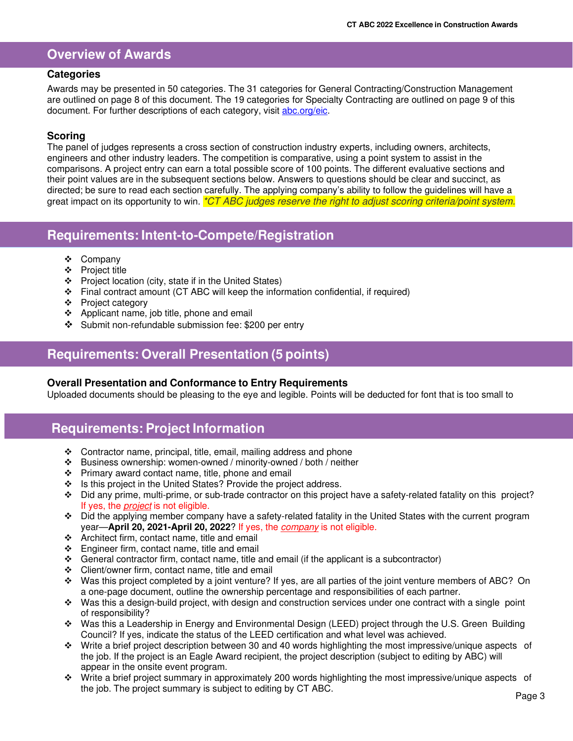## **Overview of Awards**

### **Categories**

Awards may be presented in 50 categories. The 31 categories for General Contracting/Construction Management are outlined on page 8 of this document. The 19 categories for Specialty Contracting are outlined on page 9 of this document. For further descriptions of each category, visit abc.org/eic.

### **Scoring**

The panel of judges represents a cross section of construction industry experts, including owners, architects, engineers and other industry leaders. The competition is comparative, using a point system to assist in the comparisons. A project entry can earn a total possible score of 100 points. The different evaluative sections and their point values are in the subsequent sections below. Answers to questions should be clear and succinct, as directed; be sure to read each section carefully. The applying company's ability to follow the guidelines will have a great impact on its opportunity to win. \*CT ABC judges reserve the right to adjust scoring criteria/point system.

## **Requirements: Intent-to-Compete/Registration**

- Company
- ❖ Proiect title
- $\div$  Project location (city, state if in the United States)
- $\div$  Final contract amount (CT ABC will keep the information confidential, if required)
- ❖ Project category
- ❖ Applicant name, job title, phone and email
- Submit non-refundable submission fee: \$200 per entry

## **Requirements: Overall Presentation (5 points)**

### **Overall Presentation and Conformance to Entry Requirements**

Uploaded documents should be pleasing to the eye and legible. Points will be deducted for font that is too small to

## **Requirements: Project Information**

- Contractor name, principal, title, email, mailing address and phone
- Business ownership: women-owned / minority-owned / both / neither
- \* Primary award contact name, title, phone and email
- $\cdot \cdot$  Is this project in the United States? Provide the project address.
- Did any prime, multi-prime, or sub-trade contractor on this project have a safety-related fatality on this project? If yes, the *project* is not eligible.
- Did the applying member company have a safety-related fatality in the United States with the current program year—**April 20, 2021-April 20, 2022**? If yes, the company is not eligible.
- Architect firm, contact name, title and email
- $\div$  Engineer firm, contact name, title and email
- General contractor firm, contact name, title and email (if the applicant is a subcontractor)
- Client/owner firm, contact name, title and email
- Was this project completed by a joint venture? If yes, are all parties of the joint venture members of ABC? On a one-page document, outline the ownership percentage and responsibilities of each partner.
- $\cdot \cdot$  Was this a design-build project, with design and construction services under one contract with a single point of responsibility?
- Was this a Leadership in Energy and Environmental Design (LEED) project through the U.S. Green Building Council? If yes, indicate the status of the LEED certification and what level was achieved.
- Write a brief project description between 30 and 40 words highlighting the most impressive/unique aspects of the job. If the project is an Eagle Award recipient, the project description (subject to editing by ABC) will appear in the onsite event program.
- Write a brief project summary in approximately 200 words highlighting the most impressive/unique aspects of the job. The project summary is subject to editing by CT ABC.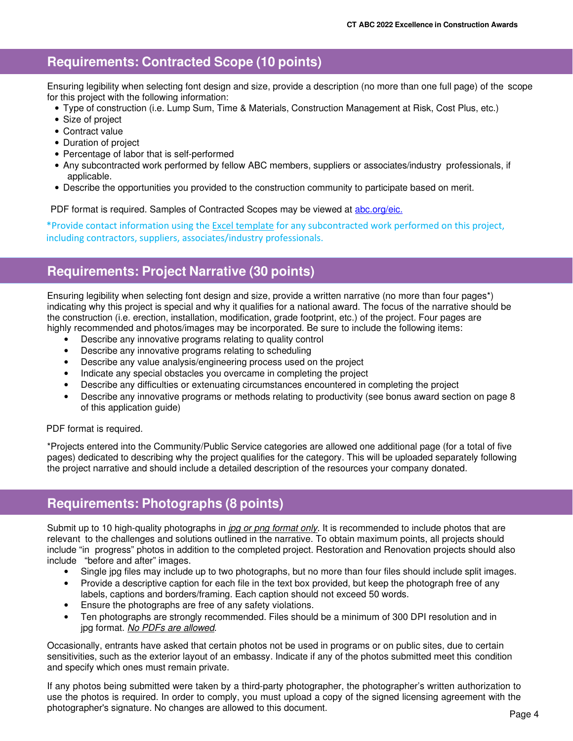## **Requirements: Contracted Scope (10 points)**

Ensuring legibility when selecting font design and size, provide a description (no more than one full page) of the scope for this project with the following information:

- Type of construction (i.e. Lump Sum, Time & Materials, Construction Management at Risk, Cost Plus, etc.)
- Size of project
- Contract value
- Duration of project
- Percentage of labor that is self-performed
- Any subcontracted work performed by fellow ABC members, suppliers or associates/industry professionals, if applicable.
- Describe the opportunities you provided to the construction community to participate based on merit.

PDF format is required. Samples of Contracted Scopes may be viewed at abc.org/eic.

\*Provide contact information using the Excel template for any subcontracted work performed on this project, including contractors, suppliers, associates/industry professionals.

## **Requirements: Project Narrative (30 points)**

Ensuring legibility when selecting font design and size, provide a written narrative (no more than four pages\*) indicating why this project is special and why it qualifies for a national award. The focus of the narrative should be the construction (i.e. erection, installation, modification, grade footprint, etc.) of the project. Four pages are highly recommended and photos/images may be incorporated. Be sure to include the following items:

- Describe any innovative programs relating to quality control
- Describe any innovative programs relating to scheduling
- Describe any value analysis/engineering process used on the project
- Indicate any special obstacles you overcame in completing the project
- Describe any difficulties or extenuating circumstances encountered in completing the project
- Describe any innovative programs or methods relating to productivity (see bonus award section on page 8 of this application guide)

PDF format is required.

\*Projects entered into the Community/Public Service categories are allowed one additional page (for a total of five pages) dedicated to describing why the project qualifies for the category. This will be uploaded separately following the project narrative and should include a detailed description of the resources your company donated.

## **Requirements: Photographs (8 points)**

Submit up to 10 high-quality photographs in jpg or png format only. It is recommended to include photos that are relevant to the challenges and solutions outlined in the narrative. To obtain maximum points, all projects should include "in progress" photos in addition to the completed project. Restoration and Renovation projects should also include "before and after" images.

- Single jpg files may include up to two photographs, but no more than four files should include split images.
- Provide a descriptive caption for each file in the text box provided, but keep the photograph free of any labels, captions and borders/framing. Each caption should not exceed 50 words.
- Ensure the photographs are free of any safety violations.
- Ten photographs are strongly recommended. Files should be a minimum of 300 DPI resolution and in jpg format. No PDFs are allowed.

Occasionally, entrants have asked that certain photos not be used in programs or on public sites, due to certain sensitivities, such as the exterior layout of an embassy. Indicate if any of the photos submitted meet this condition and specify which ones must remain private.

If any photos being submitted were taken by a third-party photographer, the photographer's written authorization to use the photos is required. In order to comply, you must upload a copy of the signed licensing agreement with the photographer's signature. No changes are allowed to this document.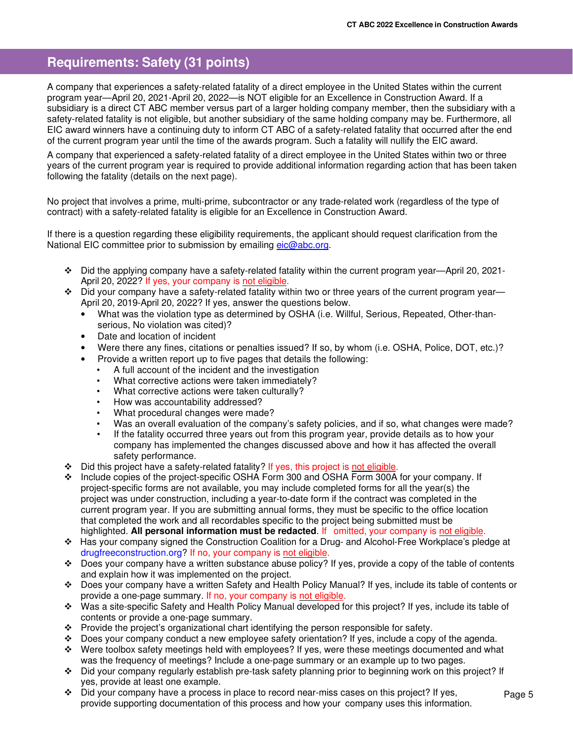# **Requirements: Safety (31 points)**

A company that experiences a safety-related fatality of a direct employee in the United States within the current program year—April 20, 2021-April 20, 2022—is NOT eligible for an Excellence in Construction Award. If a subsidiary is a direct CT ABC member versus part of a larger holding company member, then the subsidiary with a safety-related fatality is not eligible, but another subsidiary of the same holding company may be. Furthermore, all EIC award winners have a continuing duty to inform CT ABC of a safety-related fatality that occurred after the end of the current program year until the time of the awards program. Such a fatality will nullify the EIC award.

A company that experienced a safety-related fatality of a direct employee in the United States within two or three years of the current program year is required to provide additional information regarding action that has been taken following the fatality (details on the next page).

No project that involves a prime, multi-prime, subcontractor or any trade-related work (regardless of the type of contract) with a safety-related fatality is eligible for an Excellence in Construction Award.

If there is a question regarding these eligibility requirements, the applicant should request clarification from the National EIC committee prior to submission by emailing eic@abc.org.

- Did the applying company have a safety-related fatality within the current program year—April 20, 2021- April 20, 2022? If yes, your company is not eligible.
- $\div$  Did your company have a safety-related fatality within two or three years of the current program year— April 20, 2019-April 20, 2022? If yes, answer the questions below.
	- What was the violation type as determined by OSHA (i.e. Willful, Serious, Repeated, Other-thanserious, No violation was cited)?
	- Date and location of incident
	- Were there any fines, citations or penalties issued? If so, by whom (i.e. OSHA, Police, DOT, etc.)?
	- Provide a written report up to five pages that details the following:
		- A full account of the incident and the investigation
		- What corrective actions were taken immediately?
		- What corrective actions were taken culturally?
		- How was accountability addressed?
		- What procedural changes were made?
		- Was an overall evaluation of the company's safety policies, and if so, what changes were made?
		- If the fatality occurred three years out from this program year, provide details as to how your company has implemented the changes discussed above and how it has affected the overall safety performance.
- Did this project have a safety-related fatality? If yes, this project is not eligible.
- Include copies of the project-specific OSHA Form 300 and OSHA Form 300A for your company. If project-specific forms are not available, you may include completed forms for all the year(s) the project was under construction, including a year-to-date form if the contract was completed in the current program year. If you are submitting annual forms, they must be specific to the office location that completed the work and all recordables specific to the project being submitted must be highlighted. **All personal information must be redacted**. If omitted, your company is not eligible.
- Has your company signed the Construction Coalition for a Drug- and Alcohol-Free Workplace's pledge at drugfreeconstruction.org? If no, your company is not eligible.
- $\div$  Does your company have a written substance abuse policy? If yes, provide a copy of the table of contents and explain how it was implemented on the project.
- Does your company have a written Safety and Health Policy Manual? If yes, include its table of contents or provide a one-page summary. If no, your company is not eligible.
- Was a site-specific Safety and Health Policy Manual developed for this project? If yes, include its table of contents or provide a one-page summary.
- Provide the project's organizational chart identifying the person responsible for safety.
- $\div$  Does your company conduct a new employee safety orientation? If yes, include a copy of the agenda.
- Were toolbox safety meetings held with employees? If yes, were these meetings documented and what was the frequency of meetings? Include a one-page summary or an example up to two pages.
- Did your company regularly establish pre-task safety planning prior to beginning work on this project? If yes, provide at least one example.
- Did your company have a process in place to record near-miss cases on this project? If yes, provide supporting documentation of this process and how your company uses this information.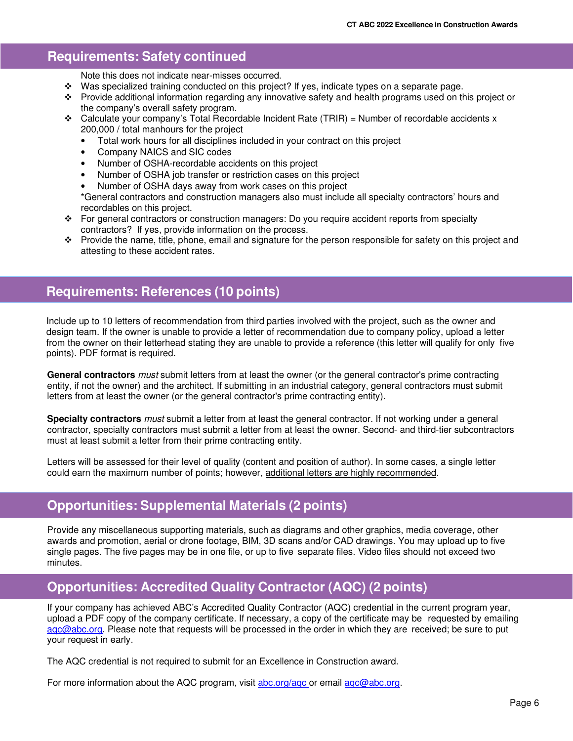### $\overline{\mathbf{d}}$ **Requirements: Safety continued**

Note this does not indicate near-misses occurred.

- $\cdot$  Was specialized training conducted on this project? If yes, indicate types on a separate page.
- Provide additional information regarding any innovative safety and health programs used on this project or the company's overall safety program.
- $\div$  Calculate your company's Total Recordable Incident Rate (TRIR) = Number of recordable accidents x 200,000 / total manhours for the project
	- Total work hours for all disciplines included in your contract on this project
	- Company NAICS and SIC codes
	- Number of OSHA-recordable accidents on this project
	- Number of OSHA job transfer or restriction cases on this project
	- Number of OSHA days away from work cases on this project

\*General contractors and construction managers also must include all specialty contractors' hours and recordables on this project.

- For general contractors or construction managers: Do you require accident reports from specialty contractors? If yes, provide information on the process.
- Provide the name, title, phone, email and signature for the person responsible for safety on this project and attesting to these accident rates.

# **Requirements: References (10 points)**

Include up to 10 letters of recommendation from third parties involved with the project, such as the owner and design team. If the owner is unable to provide a letter of recommendation due to company policy, upload a letter from the owner on their letterhead stating they are unable to provide a reference (this letter will qualify for only five points). PDF format is required.

**General contractors** must submit letters from at least the owner (or the general contractor's prime contracting entity, if not the owner) and the architect. If submitting in an industrial category, general contractors must submit letters from at least the owner (or the general contractor's prime contracting entity).

**Specialty contractors** must submit a letter from at least the general contractor. If not working under a general contractor, specialty contractors must submit a letter from at least the owner. Second- and third-tier subcontractors must at least submit a letter from their prime contracting entity.

Letters will be assessed for their level of quality (content and position of author). In some cases, a single letter could earn the maximum number of points; however, additional letters are highly recommended.

## **Opportunities: Supplemental Materials (2 points)**

Provide any miscellaneous supporting materials, such as diagrams and other graphics, media coverage, other awards and promotion, aerial or drone footage, BIM, 3D scans and/or CAD drawings. You may upload up to five single pages. The five pages may be in one file, or up to five separate files. Video files should not exceed two minutes.

# **Opportunities: Accredited Quality Contractor (AQC) (2 points)**

If your company has achieved ABC's Accredited Quality Contractor (AQC) credential in the current program year, upload a PDF copy of the company certificate. If necessary, a copy of the certificate may be requested by emailing agc@abc.org. Please note that requests will be processed in the order in which they are received; be sure to put your request in early.

The AQC credential is not required to submit for an Excellence in Construction award.

For more information about the AQC program, visit abc.org/aqc or email aqc@abc.org.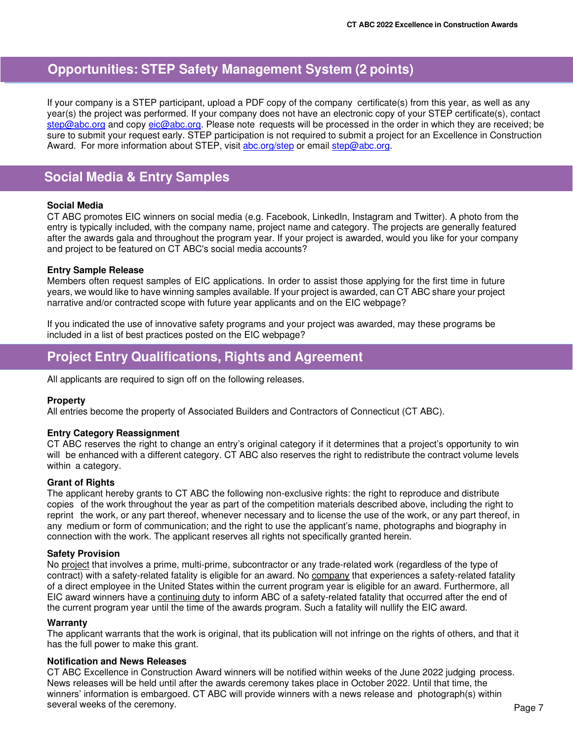# **Opportunities: STEP Safety Management System (2 points)**

If your company is a STEP participant, upload a PDF copy of the company certificate(s) from this year, as well as any year(s) the project was performed. If your company does not have an electronic copy of your STEP certificate(s), contact step@abc.org and copy eic@abc.org. Please note requests will be processed in the order in which they are received; be sure to submit your request early. STEP participation is not required to submit a project for an Excellence in Construction Award. For more information about STEP, visit abc.org/step or email step@abc.org.

# **Social Media & Entry Samples**

### **Social Media**

CT ABC promotes EIC winners on social media (e.g. Facebook, LinkedIn, Instagram and Twitter). A photo from the entry is typically included, with the company name, project name and category. The projects are generally featured after the awards gala and throughout the program year. If your project is awarded, would you like for your company and project to be featured on CT ABC's social media accounts?

### **Entry Sample Release**

Members often request samples of EIC applications. In order to assist those applying for the first time in future years, we would like to have winning samples available. If your project is awarded, can CT ABC share your project narrative and/or contracted scope with future year applicants and on the EIC webpage?

If you indicated the use of innovative safety programs and your project was awarded, may these programs be included in a list of best practices posted on the EIC webpage?

# **Project Entry Qualifications, Rights and Agreement**

All applicants are required to sign off on the following releases.

### **Property**

All entries become the property of Associated Builders and Contractors of Connecticut (CT ABC).

### **Entry Category Reassignment**

CT ABC reserves the right to change an entry's original category if it determines that a project's opportunity to win will be enhanced with a different category. CT ABC also reserves the right to redistribute the contract volume levels within a category.

### **Grant of Rights**

The applicant hereby grants to CT ABC the following non-exclusive rights: the right to reproduce and distribute copies of the work throughout the year as part of the competition materials described above, including the right to reprint the work, or any part thereof, whenever necessary and to license the use of the work, or any part thereof, in any medium or form of communication; and the right to use the applicant's name, photographs and biography in connection with the work. The applicant reserves all rights not specifically granted herein.

### **Safety Provision**

No project that involves a prime, multi-prime, subcontractor or any trade-related work (regardless of the type of contract) with a safety-related fatality is eligible for an award. No company that experiences a safety-related fatality of a direct employee in the United States within the current program year is eligible for an award. Furthermore, all EIC award winners have a continuing duty to inform ABC of a safety-related fatality that occurred after the end of the current program year until the time of the awards program. Such a fatality will nullify the EIC award.

#### **Warranty**

The applicant warrants that the work is original, that its publication will not infringe on the rights of others, and that it has the full power to make this grant.

### **Notification and News Releases**

CT ABC Excellence in Construction Award winners will be notified within weeks of the June 2022 judging process. News releases will be held until after the awards ceremony takes place in October 2022. Until that time, the winners' information is embargoed. CT ABC will provide winners with a news release and photograph(s) within several weeks of the ceremony.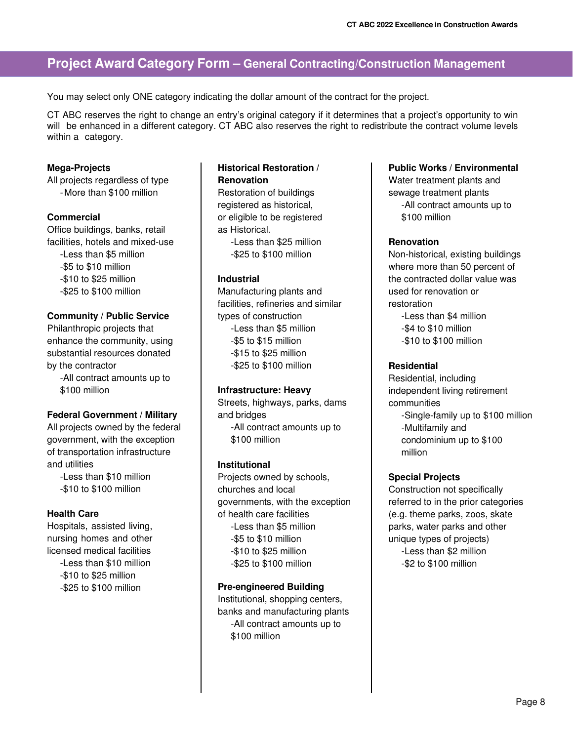# **Project Award Category Form – General Contracting/Construction Management**

You may select only ONE category indicating the dollar amount of the contract for the project.

CT ABC reserves the right to change an entry's original category if it determines that a project's opportunity to win will be enhanced in a different category. CT ABC also reserves the right to redistribute the contract volume levels within a category.

### **Mega-Projects**

All projects regardless of type -More than \$100 million

### **Commercial**

Office buildings, banks, retail facilities, hotels and mixed-use -Less than \$5 million -\$5 to \$10 million -\$10 to \$25 million -\$25 to \$100 million

### **Community / Public Service**

Philanthropic projects that enhance the community, using substantial resources donated by the contractor -All contract amounts up to

\$100 million

#### **Federal Government / Military**

All projects owned by the federal government, with the exception of transportation infrastructure and utilities

-Less than \$10 million -\$10 to \$100 million

#### **Health Care**

Hospitals, assisted living, nursing homes and other licensed medical facilities -Less than \$10 million -\$10 to \$25 million -\$25 to \$100 million

### **Historical Restoration / Renovation**

Restoration of buildings registered as historical, or eligible to be registered as Historical.

-Less than \$25 million -\$25 to \$100 million

#### **Industrial**

Manufacturing plants and facilities, refineries and similar types of construction -Less than \$5 million -\$5 to \$15 million -\$15 to \$25 million -\$25 to \$100 million

#### **Infrastructure: Heavy**

Streets, highways, parks, dams and bridges

-All contract amounts up to \$100 million

### **Institutional**

Projects owned by schools, churches and local governments, with the exception of health care facilities -Less than \$5 million -\$5 to \$10 million -\$10 to \$25 million -\$25 to \$100 million

### **Pre-engineered Building**

Institutional, shopping centers, banks and manufacturing plants -All contract amounts up to \$100 million

#### **Public Works / Environmental**

Water treatment plants and sewage treatment plants -All contract amounts up to \$100 million

### **Renovation**

Non-historical, existing buildings where more than 50 percent of the contracted dollar value was used for renovation or restoration -Less than \$4 million -\$4 to \$10 million -\$10 to \$100 million

### **Residential**

Residential, including independent living retirement communities -Single-family up to \$100 million -Multifamily and condominium up to \$100 million

### **Special Projects**

Construction not specifically referred to in the prior categories (e.g. theme parks, zoos, skate parks, water parks and other unique types of projects) -Less than \$2 million -\$2 to \$100 million